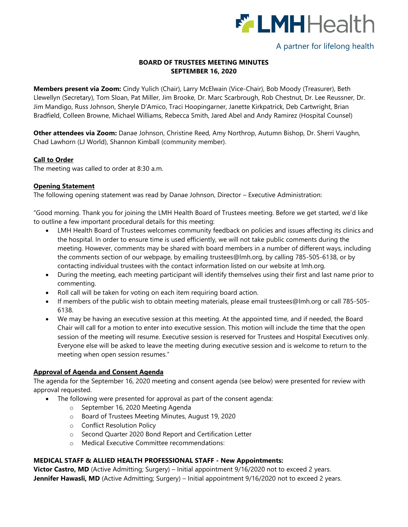

# A partner for lifelong health

### **BOARD OF TRUSTEES MEETING MINUTES SEPTEMBER 16, 2020**

**Members present via Zoom:** Cindy Yulich (Chair), Larry McElwain (Vice-Chair), Bob Moody (Treasurer), Beth Llewellyn (Secretary), Tom Sloan, Pat Miller, Jim Brooke, Dr. Marc Scarbrough, Rob Chestnut, Dr. Lee Reussner, Dr. Jim Mandigo, Russ Johnson, Sheryle D'Amico, Traci Hoopingarner, Janette Kirkpatrick, Deb Cartwright, Brian Bradfield, Colleen Browne, Michael Williams, Rebecca Smith, Jared Abel and Andy Ramirez (Hospital Counsel)

**Other attendees via Zoom:** Danae Johnson, Christine Reed, Amy Northrop, Autumn Bishop, Dr. Sherri Vaughn, Chad Lawhorn (LJ World), Shannon Kimball (community member).

#### **Call to Order**

The meeting was called to order at 8:30 a.m.

#### **Opening Statement**

The following opening statement was read by Danae Johnson, Director – Executive Administration:

"Good morning. Thank you for joining the LMH Health Board of Trustees meeting. Before we get started, we'd like to outline a few important procedural details for this meeting:

- LMH Health Board of Trustees welcomes community feedback on policies and issues affecting its clinics and the hospital. In order to ensure time is used efficiently, we will not take public comments during the meeting. However, comments may be shared with board members in a number of different ways, including the comments section of our webpage, by emailing [trustees@lmh.org,](mailto:trustees@lmh.org) by calling 785-505-6138, or by contacting individual trustees with the contact information listed on our website at lmh.org.
- During the meeting, each meeting participant will identify themselves using their first and last name prior to commenting.
- Roll call will be taken for voting on each item requiring board action.
- If members of the public wish to obtain meeting materials, please email [trustees@lmh.org](mailto:trustees@lmh.org) or call 785-505- 6138.
- We may be having an executive session at this meeting. At the appointed time, and if needed, the Board Chair will call for a motion to enter into executive session. This motion will include the time that the open session of the meeting will resume. Executive session is reserved for Trustees and Hospital Executives only. Everyone else will be asked to leave the meeting during executive session and is welcome to return to the meeting when open session resumes."

#### **Approval of Agenda and Consent Agenda**

The agenda for the September 16, 2020 meeting and consent agenda (see below) were presented for review with approval requested.

- The following were presented for approval as part of the consent agenda:
	- o September 16, 2020 Meeting Agenda
	- o Board of Trustees Meeting Minutes, August 19, 2020
	- o Conflict Resolution Policy
	- o Second Quarter 2020 Bond Report and Certification Letter
	- o Medical Executive Committee recommendations:

#### **MEDICAL STAFF & ALLIED HEALTH PROFESSIONAL STAFF - New Appointments:**

**Victor Castro, MD** (Active Admitting; Surgery) – Initial appointment 9/16/2020 not to exceed 2 years. **Jennifer Hawasli, MD** (Active Admitting; Surgery) – Initial appointment 9/16/2020 not to exceed 2 years.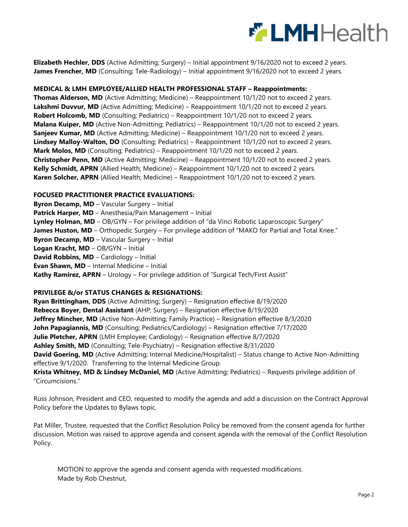

**Elizabeth Hechler, DDS** (Active Admitting; Surgery) – Initial appointment 9/16/2020 not to exceed 2 years. **James Frencher, MD** (Consulting; Tele-Radiology) – Initial appointment 9/16/2020 not to exceed 2 years.

#### **MEDICAL & LMH EMPLOYEE/ALLIED HEALTH PROFESSIONAL STAFF – Reappointments:**

**Thomas Alderson, MD** (Active Admitting; Medicine) – Reappointment 10/1/20 not to exceed 2 years. **Lakshmi Duvvur, MD** (Active Admitting; Medicine) – Reappointment 10/1/20 not to exceed 2 years. **Robert Holcomb, MD** (Consulting; Pediatrics) – Reappointment 10/1/20 not to exceed 2 years. **Malana Kuiper, MD** (Active Non-Admitting; Pediatrics) – Reappointment 10/1/20 not to exceed 2 years. **Sanjeev Kumar, MD** (Active Admitting; Medicine) – Reappointment 10/1/20 not to exceed 2 years. **Lindsey Malloy-Walton, DO** (Consulting; Pediatrics) – Reappointment 10/1/20 not to exceed 2 years. **Mark Molos, MD** (Consulting; Pediatrics) – Reappointment 10/1/20 not to exceed 2 years. **Christopher Penn, MD** (Active Admitting; Medicine) – Reappointment 10/1/20 not to exceed 2 years. **Kelly Schmidt, APRN** (Allied Health; Medicine) – Reappointment 10/1/20 not to exceed 2 years. **Karen Solcher, APRN** (Allied Health; Medicine) – Reappointment 10/1/20 not to exceed 2 years.

#### **FOCUSED PRACTITIONER PRACTICE EVALUATIONS:**

**Byron Decamp, MD** – Vascular Surgery – Initial **Patrick Harper, MD** – Anesthesia/Pain Management – Initial **Lynley Holman, MD** – OB/GYN – For privilege addition of "da Vinci Robotic Laparoscopic Surgery" James Huston, MD - Orthopedic Surgery - For privilege addition of "MAKO for Partial and Total Knee." **Byron Decamp, MD** – Vascular Surgery – Initial **Logan Kracht, MD** – OB/GYN – Initial **David Robbins, MD** – Cardiology – Initial **Evan Shawn, MD** – Internal Medicine – Initial **Kathy Ramirez, APRN** – Urology – For privilege addition of "Surgical Tech/First Assist"

#### **PRIVILEGE &/or STATUS CHANGES & RESIGNATIONS:**

**Ryan Brittingham, DDS** (Active Admitting; Surgery) – Resignation effective 8/19/2020 **Rebecca Boyer, Dental Assistant** (AHP; Surgery) – Resignation effective 8/19/2020 **Jeffrey Mincher, MD** (Active Non-Admitting; Family Practice) – Resignation effective 8/3/2020 **John Papagiannis, MD** (Consulting; Pediatrics/Cardiology) – Resignation effective 7/17/2020 **Julie Pletcher, APRN** (LMH Employee; Cardiology) – Resignation effective 8/7/2020 **Ashley Smith, MD** (Consulting; Tele-Psychiatry) – Resignation effective 8/31/2020 **David Goering, MD** (Active Admitting; Internal Medicine/Hospitalist) – Status change to Active Non-Admitting effective 9/1/2020. Transferring to the Internal Medicine Group. **Krista Whitney, MD & Lindsey McDaniel, MD** (Active Admitting; Pediatrics) – Requests privilege addition of "Circumcisions."

Russ Johnson, President and CEO, requested to modify the agenda and add a discussion on the Contract Approval Policy before the Updates to Bylaws topic.

Pat Miller, Trustee, requested that the Conflict Resolution Policy be removed from the consent agenda for further discussion. Motion was raised to approve agenda and consent agenda with the removal of the Conflict Resolution Policy.

MOTION to approve the agenda and consent agenda with requested modifications. Made by Rob Chestnut,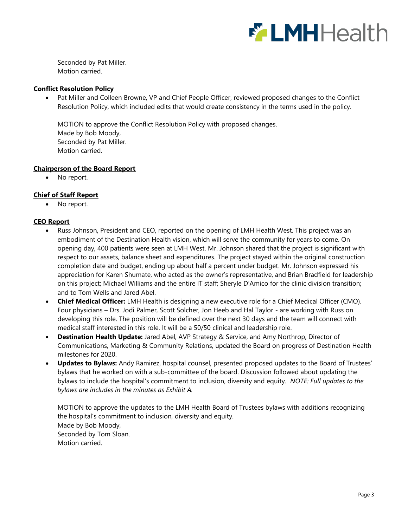

Seconded by Pat Miller. Motion carried.

#### **Conflict Resolution Policy**

 Pat Miller and Colleen Browne, VP and Chief People Officer, reviewed proposed changes to the Conflict Resolution Policy, which included edits that would create consistency in the terms used in the policy.

MOTION to approve the Conflict Resolution Policy with proposed changes. Made by Bob Moody, Seconded by Pat Miller. Motion carried.

#### **Chairperson of the Board Report**

• No report.

#### **Chief of Staff Report**

• No report.

#### **CEO Report**

- Russ Johnson, President and CEO, reported on the opening of LMH Health West. This project was an embodiment of the Destination Health vision, which will serve the community for years to come. On opening day, 400 patients were seen at LMH West. Mr. Johnson shared that the project is significant with respect to our assets, balance sheet and expenditures. The project stayed within the original construction completion date and budget, ending up about half a percent under budget. Mr. Johnson expressed his appreciation for Karen Shumate, who acted as the owner's representative, and Brian Bradfield for leadership on this project; Michael Williams and the entire IT staff; Sheryle D'Amico for the clinic division transition; and to Tom Wells and Jared Abel.
- **Chief Medical Officer:** LMH Health is designing a new executive role for a Chief Medical Officer (CMO). Four physicians – Drs. Jodi Palmer, Scott Solcher, Jon Heeb and Hal Taylor - are working with Russ on developing this role. The position will be defined over the next 30 days and the team will connect with medical staff interested in this role. It will be a 50/50 clinical and leadership role.
- **Destination Health Update:** Jared Abel, AVP Strategy & Service, and Amy Northrop, Director of Communications, Marketing & Community Relations, updated the Board on progress of Destination Health milestones for 2020.
- **Updates to Bylaws:** Andy Ramirez, hospital counsel, presented proposed updates to the Board of Trustees' bylaws that he worked on with a sub-committee of the board. Discussion followed about updating the bylaws to include the hospital's commitment to inclusion, diversity and equity. *NOTE: Full updates to the bylaws are includes in the minutes as Exhibit A.*

MOTION to approve the updates to the LMH Health Board of Trustees bylaws with additions recognizing the hospital's commitment to inclusion, diversity and equity. Made by Bob Moody, Seconded by Tom Sloan. Motion carried.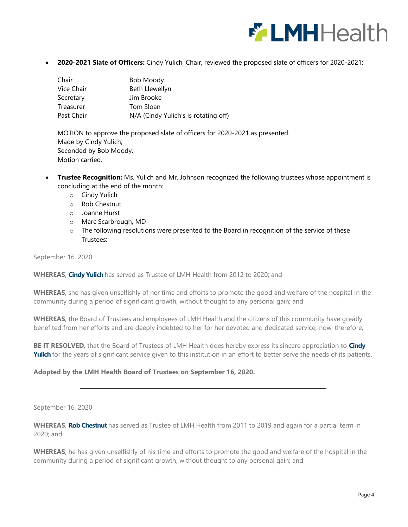

**2020-2021 Slate of Officers:** Cindy Yulich, Chair, reviewed the proposed slate of officers for 2020-2021:

| Chair      | <b>Bob Moody</b>                     |
|------------|--------------------------------------|
| Vice Chair | Beth Llewellyn                       |
| Secretary  | Jim Brooke                           |
| Treasurer  | Tom Sloan                            |
| Past Chair | N/A (Cindy Yulich's is rotating off) |

MOTION to approve the proposed slate of officers for 2020-2021 as presented. Made by Cindy Yulich, Seconded by Bob Moody. Motion carried.

- **Trustee Recognition:** Ms. Yulich and Mr. Johnson recognized the following trustees whose appointment is concluding at the end of the month:
	- o Cindy Yulich
	- o Rob Chestnut
	- o Joanne Hurst
	- o Marc Scarbrough, MD
	- $\circ$  The following resolutions were presented to the Board in recognition of the service of these Trustees:

September 16, 2020

**WHEREAS**, **Cindy Yulich** has served as Trustee of LMH Health from 2012 to 2020; and

**WHEREAS**, she has given unselfishly of her time and efforts to promote the good and welfare of the hospital in the community during a period of significant growth, without thought to any personal gain; and

**WHEREAS**, the Board of Trustees and employees of LMH Health and the citizens of this community have greatly benefited from her efforts and are deeply indebted to her for her devoted and dedicated service; now, therefore,

**BE IT RESOLVED**, that the Board of Trustees of LMH Health does hereby express its sincere appreciation to **Cindy Yulich** for the years of significant service given to this institution in an effort to better serve the needs of its patients.

#### **Adopted by the LMH Health Board of Trustees on September 16, 2020.**

September 16, 2020

**WHEREAS**, **Rob Chestnut** has served as Trustee of LMH Health from 2011 to 2019 and again for a partial term in 2020; and

**WHEREAS**, he has given unselfishly of his time and efforts to promote the good and welfare of the hospital in the community during a period of significant growth, without thought to any personal gain; and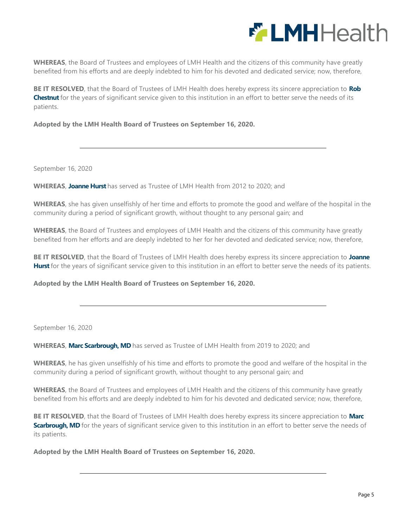

**WHEREAS**, the Board of Trustees and employees of LMH Health and the citizens of this community have greatly benefited from his efforts and are deeply indebted to him for his devoted and dedicated service; now, therefore,

**BE IT RESOLVED**, that the Board of Trustees of LMH Health does hereby express its sincere appreciation to **Rob Chestnut** for the years of significant service given to this institution in an effort to better serve the needs of its patients.

**Adopted by the LMH Health Board of Trustees on September 16, 2020.**

September 16, 2020

**WHEREAS**, **Joanne Hurst** has served as Trustee of LMH Health from 2012 to 2020; and

**WHEREAS**, she has given unselfishly of her time and efforts to promote the good and welfare of the hospital in the community during a period of significant growth, without thought to any personal gain; and

**WHEREAS**, the Board of Trustees and employees of LMH Health and the citizens of this community have greatly benefited from her efforts and are deeply indebted to her for her devoted and dedicated service; now, therefore,

**BE IT RESOLVED**, that the Board of Trustees of LMH Health does hereby express its sincere appreciation to **Joanne**  Hurst for the years of significant service given to this institution in an effort to better serve the needs of its patients.

**Adopted by the LMH Health Board of Trustees on September 16, 2020.**

September 16, 2020

**WHEREAS**, **Marc Scarbrough, MD** has served as Trustee of LMH Health from 2019 to 2020; and

**WHEREAS**, he has given unselfishly of his time and efforts to promote the good and welfare of the hospital in the community during a period of significant growth, without thought to any personal gain; and

**WHEREAS**, the Board of Trustees and employees of LMH Health and the citizens of this community have greatly benefited from his efforts and are deeply indebted to him for his devoted and dedicated service; now, therefore,

**BE IT RESOLVED**, that the Board of Trustees of LMH Health does hereby express its sincere appreciation to **Marc Scarbrough, MD** for the years of significant service given to this institution in an effort to better serve the needs of its patients.

**Adopted by the LMH Health Board of Trustees on September 16, 2020.**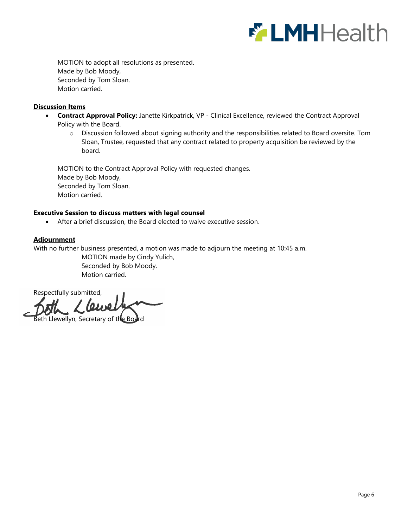

MOTION to adopt all resolutions as presented. Made by Bob Moody, Seconded by Tom Sloan. Motion carried.

#### **Discussion Items**

- **Contract Approval Policy:** Janette Kirkpatrick, VP Clinical Excellence, reviewed the Contract Approval Policy with the Board.
	- o Discussion followed about signing authority and the responsibilities related to Board oversite. Tom Sloan, Trustee, requested that any contract related to property acquisition be reviewed by the board.

MOTION to the Contract Approval Policy with requested changes. Made by Bob Moody, Seconded by Tom Sloan. Motion carried.

#### **Executive Session to discuss matters with legal counsel**

After a brief discussion, the Board elected to waive executive session.

#### **Adjournment**

With no further business presented, a motion was made to adjourn the meeting at 10:45 a.m.

MOTION made by Cindy Yulich, Seconded by Bob Moody. Motion carried.

Respectfully submitted,  $\omega$ 

eth Llewellyn, Secretary of the Board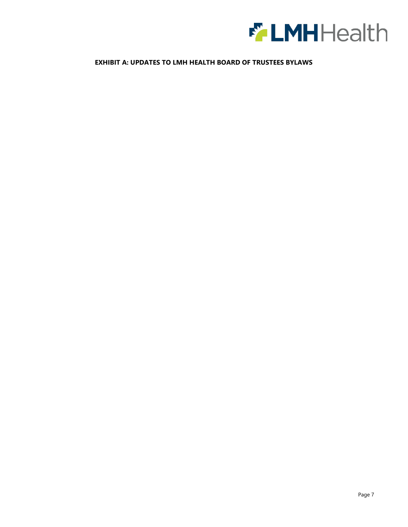

#### **EXHIBIT A: UPDATES TO LMH HEALTH BOARD OF TRUSTEES BYLAWS**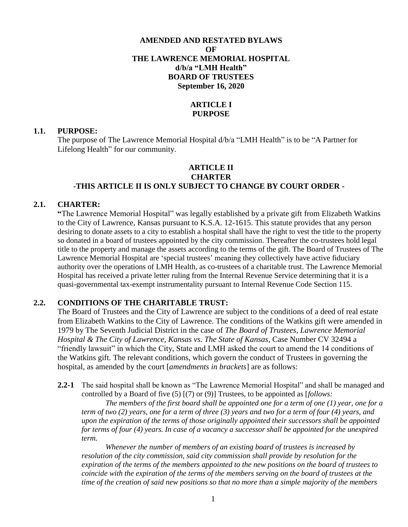## **AMENDED AND RESTATED BYLAWS OF THE LAWRENCE MEMORIAL HOSPITAL d/b/a "LMH Health" BOARD OF TRUSTEES September 16, 2020**

# **ARTICLE I PURPOSE**

#### **1.1. PURPOSE:**

The purpose of The Lawrence Memorial Hospital d/b/a "LMH Health" is to be "A Partner for Lifelong Health" for our community.

### **ARTICLE II CHARTER -THIS ARTICLE II IS ONLY SUBJECT TO CHANGE BY COURT ORDER -**

#### **2.1. CHARTER:**

**"**The Lawrence Memorial Hospital" was legally established by a private gift from Elizabeth Watkins to the City of Lawrence, Kansas pursuant to K.S.A. 12-1615. This statute provides that any person desiring to donate assets to a city to establish a hospital shall have the right to vest the title to the property so donated in a board of trustees appointed by the city commission. Thereafter the co-trustees hold legal title to the property and manage the assets according to the terms of the gift. The Board of Trustees of The Lawrence Memorial Hospital are 'special trustees' meaning they collectively have active fiduciary authority over the operations of LMH Health, as co-trustees of a charitable trust. The Lawrence Memorial Hospital has received a private letter ruling from the Internal Revenue Service determining that it is a quasi-governmental tax-exempt instrumentality pursuant to Internal Revenue Code Section 115.

#### **2.2. CONDITIONS OF THE CHARITABLE TRUST:**

The Board of Trustees and the City of Lawrence are subject to the conditions of a deed of real estate from Elizabeth Watkins to the City of Lawrence. The conditions of the Watkins gift were amended in 1979 by The Seventh Judicial District in the case of *The Board of Trustees, Lawrence Memorial Hospital & The City of Lawrence, Kansas vs. The State of Kansas*, Case Number CV 32494 a "friendly lawsuit" in which the City, State and LMH asked the court to amend the 14 conditions of the Watkins gift. The relevant conditions, which govern the conduct of Trustees in governing the hospital, as amended by the court [*amendments in brackets*] are as follows:

**2.2-1** The said hospital shall be known as "The Lawrence Memorial Hospital" and shall be managed and controlled by a Board of five (5) [(7) or (9)] Trustees, to be appointed as [*follows:* 

*The members of the first board shall be appointed one for a term of one (1) year, one for a term of two (2) years, one for a term of three (3) years and two for a term of four (4) years, and upon the expiration of the terms of those originally appointed their successors shall be appointed for terms of four (4) years. In case of a vacancy a successor shall be appointed for the unexpired term.* 

*Whenever the number of members of an existing board of trustees is increased by resolution of the city commission, said city commission shall provide by resolution for the expiration of the terms of the members appointed to the new positions on the board of trustees to coincide with the expiration of the terms of the members serving on the board of trustees at the time of the creation of said new positions so that no more than a simple majority of the members*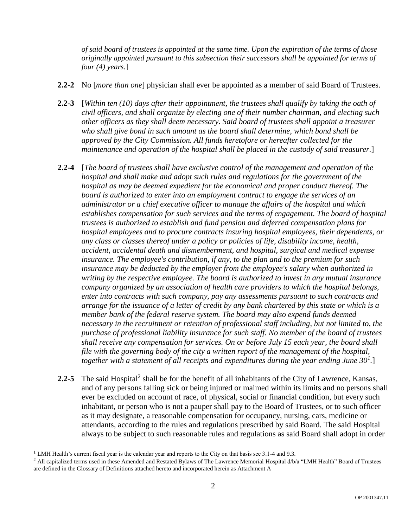*of said board of trustees is appointed at the same time. Upon the expiration of the terms of those originally appointed pursuant to this subsection their successors shall be appointed for terms of four (4) years.*]

- **2.2-2** No [*more than one*] physician shall ever be appointed as a member of said Board of Trustees.
- **2.2-3** [*Within ten (10) days after their appointment, the trustees shall qualify by taking the oath of civil officers, and shall organize by electing one of their number chairman, and electing such other officers as they shall deem necessary. Said board of trustees shall appoint a treasurer who shall give bond in such amount as the board shall determine, which bond shall be approved by the City Commission. All funds heretofore or hereafter collected for the maintenance and operation of the hospital shall be placed in the custody of said treasurer.*]
- **2.2-4** [*The board of trustees shall have exclusive control of the management and operation of the hospital and shall make and adopt such rules and regulations for the government of the hospital as may be deemed expedient for the economical and proper conduct thereof. The board is authorized to enter into an employment contract to engage the services of an administrator or a chief executive officer to manage the affairs of the hospital and which establishes compensation for such services and the terms of engagement. The board of hospital trustees is authorized to establish and fund pension and deferred compensation plans for hospital employees and to procure contracts insuring hospital employees, their dependents, or any class or classes thereof under a policy or policies of life, disability income, health, accident, accidental death and dismemberment, and hospital, surgical and medical expense insurance. The employee's contribution, if any, to the plan and to the premium for such insurance may be deducted by the employer from the employee's salary when authorized in writing by the respective employee. The board is authorized to invest in any mutual insurance company organized by an association of health care providers to which the hospital belongs, enter into contracts with such company, pay any assessments pursuant to such contracts and arrange for the issuance of a letter of credit by any bank chartered by this state or which is a*  member bank of the federal reserve system. The board may also expend funds deemed *necessary in the recruitment or retention of professional staff including, but not limited to, the purchase of professional liability insurance for such staff. No member of the board of trustees shall receive any compensation for services. On or before July 15 each year, the board shall file with the governing body of the city a written report of the management of the hospital, together with a statement of all receipts and expenditures during the year ending June 30<sup>1</sup> .*]
- 2.2-5 The said Hospital<sup>2</sup> shall be for the benefit of all inhabitants of the City of Lawrence, Kansas, and of any persons falling sick or being injured or maimed within its limits and no persons shall ever be excluded on account of race, of physical, social or financial condition, but every such inhabitant, or person who is not a pauper shall pay to the Board of Trustees, or to such officer as it may designate, a reasonable compensation for occupancy, nursing, cars, medicine or attendants, according to the rules and regulations prescribed by said Board. The said Hospital always to be subject to such reasonable rules and regulations as said Board shall adopt in order

 $\overline{a}$ 

 $1$  LMH Health's current fiscal year is the calendar year and reports to the City on that basis see 3.1-4 and 9.3.

<sup>&</sup>lt;sup>2</sup> All capitalized terms used in these Amended and Restated Bylaws of The Lawrence Memorial Hospital d/b/a "LMH Health" Board of Trustees are defined in the Glossary of Definitions attached hereto and incorporated herein as Attachment A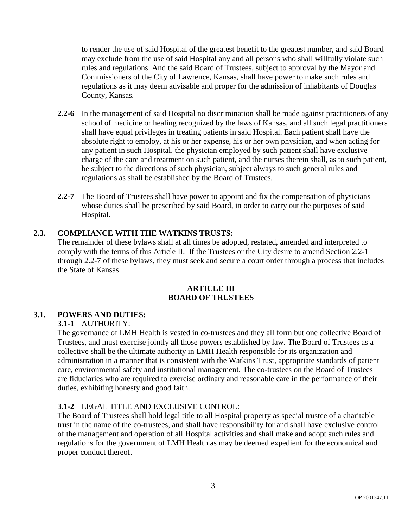to render the use of said Hospital of the greatest benefit to the greatest number, and said Board may exclude from the use of said Hospital any and all persons who shall willfully violate such rules and regulations. And the said Board of Trustees, subject to approval by the Mayor and Commissioners of the City of Lawrence, Kansas, shall have power to make such rules and regulations as it may deem advisable and proper for the admission of inhabitants of Douglas County, Kansas*.*

- **2.2-6** In the management of said Hospital no discrimination shall be made against practitioners of any school of medicine or healing recognized by the laws of Kansas, and all such legal practitioners shall have equal privileges in treating patients in said Hospital. Each patient shall have the absolute right to employ, at his or her expense, his or her own physician, and when acting for any patient in such Hospital, the physician employed by such patient shall have exclusive charge of the care and treatment on such patient, and the nurses therein shall, as to such patient, be subject to the directions of such physician, subject always to such general rules and regulations as shall be established by the Board of Trustees*.*
- **2.2-7** The Board of Trustees shall have power to appoint and fix the compensation of physicians whose duties shall be prescribed by said Board, in order to carry out the purposes of said Hospital*.*

### **2.3. COMPLIANCE WITH THE WATKINS TRUSTS:**

The remainder of these bylaws shall at all times be adopted, restated, amended and interpreted to comply with the terms of this Article II. If the Trustees or the City desire to amend Section 2.2-1 through 2.2-7 of these bylaws, they must seek and secure a court order through a process that includes the State of Kansas.

#### **ARTICLE III BOARD OF TRUSTEES**

## **3.1. POWERS AND DUTIES:**

### **3.1-1** AUTHORITY:

The governance of LMH Health is vested in co-trustees and they all form but one collective Board of Trustees, and must exercise jointly all those powers established by law. The Board of Trustees as a collective shall be the ultimate authority in LMH Health responsible for its organization and administration in a manner that is consistent with the Watkins Trust, appropriate standards of patient care, environmental safety and institutional management. The co-trustees on the Board of Trustees are fiduciaries who are required to exercise ordinary and reasonable care in the performance of their duties, exhibiting honesty and good faith.

# **3.1-2** LEGAL TITLE AND EXCLUSIVE CONTROL:

The Board of Trustees shall hold legal title to all Hospital property as special trustee of a charitable trust in the name of the co-trustees, and shall have responsibility for and shall have exclusive control of the management and operation of all Hospital activities and shall make and adopt such rules and regulations for the government of LMH Health as may be deemed expedient for the economical and proper conduct thereof.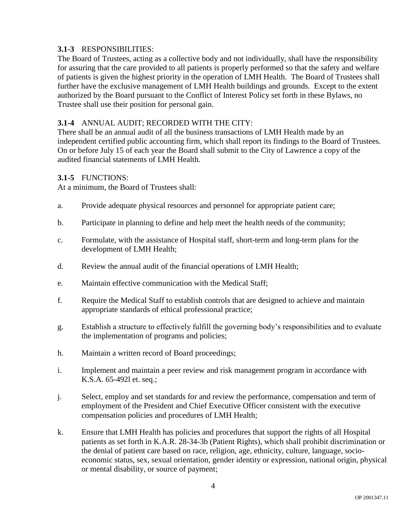# **3.1-3** RESPONSIBILITIES:

The Board of Trustees, acting as a collective body and not individually, shall have the responsibility for assuring that the care provided to all patients is properly performed so that the safety and welfare of patients is given the highest priority in the operation of LMH Health. The Board of Trustees shall further have the exclusive management of LMH Health buildings and grounds. Except to the extent authorized by the Board pursuant to the Conflict of Interest Policy set forth in these Bylaws, no Trustee shall use their position for personal gain.

# **3.1-4** ANNUAL AUDIT; RECORDED WITH THE CITY:

There shall be an annual audit of all the business transactions of LMH Health made by an independent certified public accounting firm, which shall report its findings to the Board of Trustees. On or before July 15 of each year the Board shall submit to the City of Lawrence a copy of the audited financial statements of LMH Health.

## **3.1-5** FUNCTIONS:

At a minimum, the Board of Trustees shall:

- a. Provide adequate physical resources and personnel for appropriate patient care;
- b. Participate in planning to define and help meet the health needs of the community;
- c. Formulate, with the assistance of Hospital staff, short-term and long-term plans for the development of LMH Health;
- d. Review the annual audit of the financial operations of LMH Health;
- e. Maintain effective communication with the Medical Staff;
- f. Require the Medical Staff to establish controls that are designed to achieve and maintain appropriate standards of ethical professional practice;
- g. Establish a structure to effectively fulfill the governing body's responsibilities and to evaluate the implementation of programs and policies;
- h. Maintain a written record of Board proceedings;
- i. Implement and maintain a peer review and risk management program in accordance with K.S.A. 65-492l et. seq.;
- j. Select, employ and set standards for and review the performance, compensation and term of employment of the President and Chief Executive Officer consistent with the executive compensation policies and procedures of LMH Health;
- k. Ensure that LMH Health has policies and procedures that support the rights of all Hospital patients as set forth in K.A.R. 28-34-3b (Patient Rights), which shall prohibit discrimination or the denial of patient care based on race, religion, age, ethnicity, culture, language, socioeconomic status, sex, sexual orientation, gender identity or expression, national origin, physical or mental disability, or source of payment;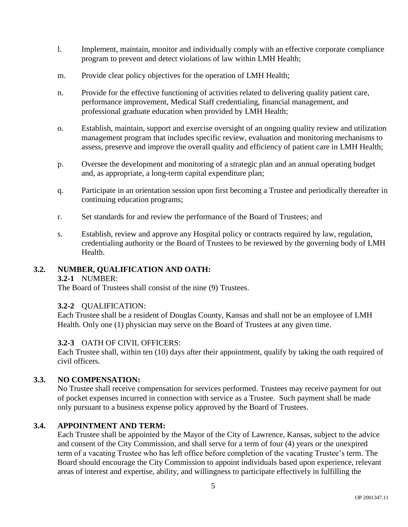- l. Implement, maintain, monitor and individually comply with an effective corporate compliance program to prevent and detect violations of law within LMH Health;
- m. Provide clear policy objectives for the operation of LMH Health;
- n. Provide for the effective functioning of activities related to delivering quality patient care, performance improvement, Medical Staff credentialing, financial management, and professional graduate education when provided by LMH Health;
- o. Establish, maintain, support and exercise oversight of an ongoing quality review and utilization management program that includes specific review, evaluation and monitoring mechanisms to assess, preserve and improve the overall quality and efficiency of patient care in LMH Health;
- p. Oversee the development and monitoring of a strategic plan and an annual operating budget and, as appropriate, a long-term capital expenditure plan;
- q. Participate in an orientation session upon first becoming a Trustee and periodically thereafter in continuing education programs;
- r. Set standards for and review the performance of the Board of Trustees; and
- s. Establish, review and approve any Hospital policy or contracts required by law, regulation, credentialing authority or the Board of Trustees to be reviewed by the governing body of LMH Health.

# **3.2. NUMBER, QUALIFICATION AND OATH:**

### **3.2-1** NUMBER:

The Board of Trustees shall consist of the nine (9) Trustees.

### **3.2-2** QUALIFICATION:

Each Trustee shall be a resident of Douglas County, Kansas and shall not be an employee of LMH Health. Only one (1) physician may serve on the Board of Trustees at any given time.

### **3.2-3** OATH OF CIVIL OFFICERS:

Each Trustee shall, within ten (10) days after their appointment, qualify by taking the oath required of civil officers.

# **3.3. NO COMPENSATION:**

No Trustee shall receive compensation for services performed. Trustees may receive payment for out of pocket expenses incurred in connection with service as a Trustee. Such payment shall be made only pursuant to a business expense policy approved by the Board of Trustees.

### **3.4. APPOINTMENT AND TERM:**

Each Trustee shall be appointed by the Mayor of the City of Lawrence, Kansas, subject to the advice and consent of the City Commission, and shall serve for a term of four (4) years or the unexpired term of a vacating Trustee who has left office before completion of the vacating Trustee's term. The Board should encourage the City Commission to appoint individuals based upon experience, relevant areas of interest and expertise, ability, and willingness to participate effectively in fulfilling the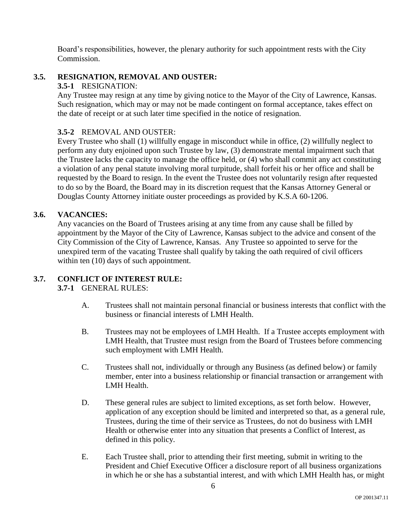Board's responsibilities, however, the plenary authority for such appointment rests with the City Commission.

# **3.5. RESIGNATION, REMOVAL AND OUSTER:**

## **3.5-1** RESIGNATION:

Any Trustee may resign at any time by giving notice to the Mayor of the City of Lawrence, Kansas. Such resignation, which may or may not be made contingent on formal acceptance, takes effect on the date of receipt or at such later time specified in the notice of resignation.

# **3.5-2** REMOVAL AND OUSTER:

Every Trustee who shall (1) willfully engage in misconduct while in office, (2) willfully neglect to perform any duty enjoined upon such Trustee by law, (3) demonstrate mental impairment such that the Trustee lacks the capacity to manage the office held, or (4) who shall commit any act constituting a violation of any penal statute involving moral turpitude, shall forfeit his or her office and shall be requested by the Board to resign. In the event the Trustee does not voluntarily resign after requested to do so by the Board, the Board may in its discretion request that the Kansas Attorney General or Douglas County Attorney initiate ouster proceedings as provided by K.S.A 60-1206.

## **3.6. VACANCIES:**

Any vacancies on the Board of Trustees arising at any time from any cause shall be filled by appointment by the Mayor of the City of Lawrence, Kansas subject to the advice and consent of the City Commission of the City of Lawrence, Kansas. Any Trustee so appointed to serve for the unexpired term of the vacating Trustee shall qualify by taking the oath required of civil officers within ten  $(10)$  days of such appointment.

# **3.7. CONFLICT OF INTEREST RULE:**

**3.7-1** GENERAL RULES:

- A. Trustees shall not maintain personal financial or business interests that conflict with the business or financial interests of LMH Health.
- B. Trustees may not be employees of LMH Health. If a Trustee accepts employment with LMH Health, that Trustee must resign from the Board of Trustees before commencing such employment with LMH Health.
- C. Trustees shall not, individually or through any Business (as defined below) or family member, enter into a business relationship or financial transaction or arrangement with LMH Health.
- D. These general rules are subject to limited exceptions, as set forth below. However, application of any exception should be limited and interpreted so that, as a general rule, Trustees, during the time of their service as Trustees, do not do business with LMH Health or otherwise enter into any situation that presents a Conflict of Interest, as defined in this policy.
- E. Each Trustee shall, prior to attending their first meeting, submit in writing to the President and Chief Executive Officer a disclosure report of all business organizations in which he or she has a substantial interest, and with which LMH Health has, or might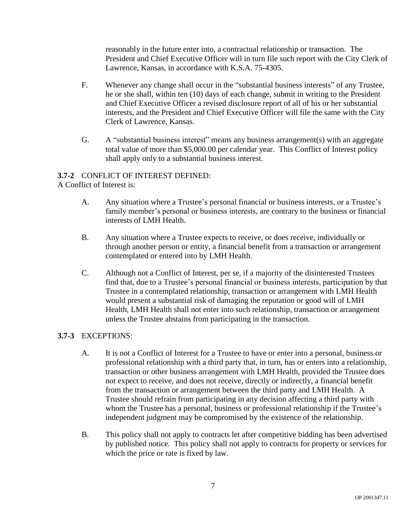reasonably in the future enter into, a contractual relationship or transaction. The President and Chief Executive Officer will in turn file such report with the City Clerk of Lawrence, Kansas, in accordance with K.S.A. 75-4305.

- F. Whenever any change shall occur in the "substantial business interests" of any Trustee, he or she shall, within ten (10) days of each change, submit in writing to the President and Chief Executive Officer a revised disclosure report of all of his or her substantial interests, and the President and Chief Executive Officer will file the same with the City Clerk of Lawrence, Kansas.
- G. A "substantial business interest" means any business arrangement(s) with an aggregate total value of more than \$5,000.00 per calendar year. This Conflict of Interest policy shall apply only to a substantial business interest.

# **3.7-2** CONFLICT OF INTEREST DEFINED:

A Conflict of Interest is:

- A. Any situation where a Trustee's personal financial or business interests, or a Trustee's family member's personal or business interests, are contrary to the business or financial interests of LMH Health.
- B. Any situation where a Trustee expects to receive, or does receive, individually or through another person or entity, a financial benefit from a transaction or arrangement contemplated or entered into by LMH Health.
- C. Although not a Conflict of Interest, per se, if a majority of the disinterested Trustees find that, due to a Trustee's personal financial or business interests, participation by that Trustee in a contemplated relationship, transaction or arrangement with LMH Health would present a substantial risk of damaging the reputation or good will of LMH Health, LMH Health shall not enter into such relationship, transaction or arrangement unless the Trustee abstains from participating in the transaction.

# **3.7-3** EXCEPTIONS:

- A. It is not a Conflict of Interest for a Trustee to have or enter into a personal, business or professional relationship with a third party that, in turn, has or enters into a relationship, transaction or other business arrangement with LMH Health, provided the Trustee does not expect to receive, and does not receive, directly or indirectly, a financial benefit from the transaction or arrangement between the third party and LMH Health. A Trustee should refrain from participating in any decision affecting a third party with whom the Trustee has a personal, business or professional relationship if the Trustee's independent judgment may be compromised by the existence of the relationship.
- B. This policy shall not apply to contracts let after competitive bidding has been advertised by published notice. This policy shall not apply to contracts for property or services for which the price or rate is fixed by law.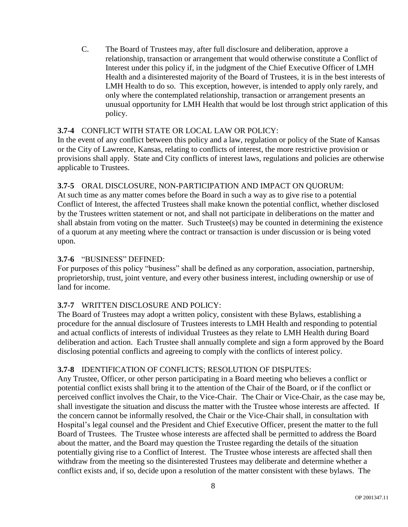C. The Board of Trustees may, after full disclosure and deliberation, approve a relationship, transaction or arrangement that would otherwise constitute a Conflict of Interest under this policy if, in the judgment of the Chief Executive Officer of LMH Health and a disinterested majority of the Board of Trustees, it is in the best interests of LMH Health to do so. This exception, however, is intended to apply only rarely, and only where the contemplated relationship, transaction or arrangement presents an unusual opportunity for LMH Health that would be lost through strict application of this policy.

# **3.7-4** CONFLICT WITH STATE OR LOCAL LAW OR POLICY:

In the event of any conflict between this policy and a law, regulation or policy of the State of Kansas or the City of Lawrence, Kansas, relating to conflicts of interest, the more restrictive provision or provisions shall apply. State and City conflicts of interest laws, regulations and policies are otherwise applicable to Trustees.

## **3.7-5** ORAL DISCLOSURE, NON-PARTICIPATION AND IMPACT ON QUORUM:

At such time as any matter comes before the Board in such a way as to give rise to a potential Conflict of Interest, the affected Trustees shall make known the potential conflict, whether disclosed by the Trustees written statement or not, and shall not participate in deliberations on the matter and shall abstain from voting on the matter. Such Trustee(s) may be counted in determining the existence of a quorum at any meeting where the contract or transaction is under discussion or is being voted upon.

## **3.7-6** "BUSINESS" DEFINED:

For purposes of this policy "business" shall be defined as any corporation, association, partnership, proprietorship, trust, joint venture, and every other business interest, including ownership or use of land for income.

# **3.7-7** WRITTEN DISCLOSURE AND POLICY:

The Board of Trustees may adopt a written policy, consistent with these Bylaws, establishing a procedure for the annual disclosure of Trustees interests to LMH Health and responding to potential and actual conflicts of interests of individual Trustees as they relate to LMH Health during Board deliberation and action. Each Trustee shall annually complete and sign a form approved by the Board disclosing potential conflicts and agreeing to comply with the conflicts of interest policy.

### **3.7-8** IDENTIFICATION OF CONFLICTS; RESOLUTION OF DISPUTES:

Any Trustee, Officer, or other person participating in a Board meeting who believes a conflict or potential conflict exists shall bring it to the attention of the Chair of the Board, or if the conflict or perceived conflict involves the Chair, to the Vice-Chair. The Chair or Vice-Chair, as the case may be, shall investigate the situation and discuss the matter with the Trustee whose interests are affected. If the concern cannot be informally resolved, the Chair or the Vice-Chair shall, in consultation with Hospital's legal counsel and the President and Chief Executive Officer, present the matter to the full Board of Trustees. The Trustee whose interests are affected shall be permitted to address the Board about the matter, and the Board may question the Trustee regarding the details of the situation potentially giving rise to a Conflict of Interest. The Trustee whose interests are affected shall then withdraw from the meeting so the disinterested Trustees may deliberate and determine whether a conflict exists and, if so, decide upon a resolution of the matter consistent with these bylaws. The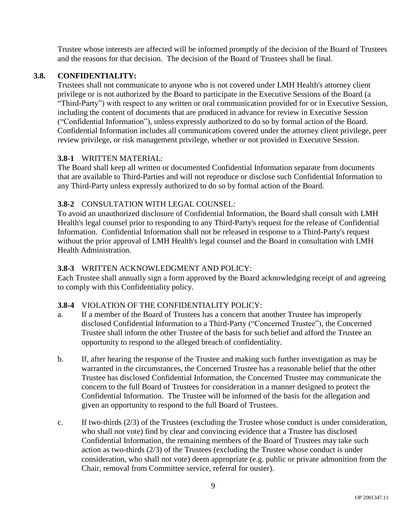Trustee whose interests are affected will be informed promptly of the decision of the Board of Trustees and the reasons for that decision. The decision of the Board of Trustees shall be final.

# **3.8. CONFIDENTIALITY:**

Trustees shall not communicate to anyone who is not covered under LMH Health's attorney client privilege or is not authorized by the Board to participate in the Executive Sessions of the Board (a "Third-Party") with respect to any written or oral communication provided for or in Executive Session, including the content of documents that are produced in advance for review in Executive Session ("Confidential Information"), unless expressly authorized to do so by formal action of the Board. Confidential Information includes all communications covered under the attorney client privilege, peer review privilege, or risk management privilege, whether or not provided in Executive Session.

# **3.8-1** WRITTEN MATERIAL:

The Board shall keep all written or documented Confidential Information separate from documents that are available to Third-Parties and will not reproduce or disclose such Confidential Information to any Third-Party unless expressly authorized to do so by formal action of the Board.

# **3.8-2** CONSULTATION WITH LEGAL COUNSEL:

To avoid an unauthorized disclosure of Confidential Information, the Board shall consult with LMH Health's legal counsel prior to responding to any Third-Party's request for the release of Confidential Information. Confidential Information shall not be released in response to a Third-Party's request without the prior approval of LMH Health's legal counsel and the Board in consultation with LMH Health Administration.

# **3.8-3** WRITTEN ACKNOWLEDGMENT AND POLICY:

Each Trustee shall annually sign a form approved by the Board acknowledging receipt of and agreeing to comply with this Confidentiality policy.

# **3.8-4** VIOLATION OF THE CONFIDENTIALITY POLICY:

- a. If a member of the Board of Trustees has a concern that another Trustee has improperly disclosed Confidential Information to a Third-Party ("Concerned Trustee"), the Concerned Trustee shall inform the other Trustee of the basis for such belief and afford the Trustee an opportunity to respond to the alleged breach of confidentiality.
- b. If, after hearing the response of the Trustee and making such further investigation as may be warranted in the circumstances, the Concerned Trustee has a reasonable belief that the other Trustee has disclosed Confidential Information, the Concerned Trustee may communicate the concern to the full Board of Trustees for consideration in a manner designed to protect the Confidential Information. The Trustee will be informed of the basis for the allegation and given an opportunity to respond to the full Board of Trustees.
- c. If two-thirds (2/3) of the Trustees (excluding the Trustee whose conduct is under consideration, who shall not vote) find by clear and convincing evidence that a Trustee has disclosed Confidential Information, the remaining members of the Board of Trustees may take such action as two-thirds (2/3) of the Trustees (excluding the Trustee whose conduct is under consideration, who shall not vote) deem appropriate (e.g. public or private admonition from the Chair, removal from Committee service, referral for ouster).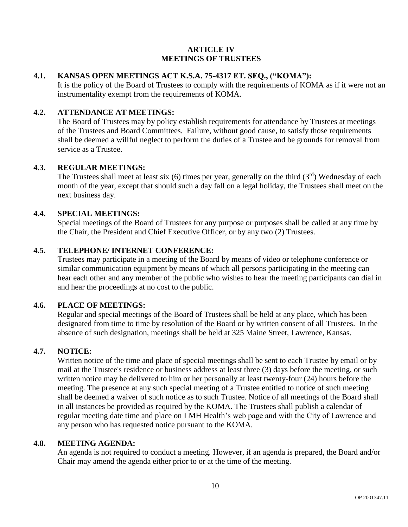### **ARTICLE IV MEETINGS OF TRUSTEES**

# **4.1. KANSAS OPEN MEETINGS ACT K.S.A. 75-4317 ET. SEQ., ("KOMA"):**

It is the policy of the Board of Trustees to comply with the requirements of KOMA as if it were not an instrumentality exempt from the requirements of KOMA.

# **4.2. ATTENDANCE AT MEETINGS:**

The Board of Trustees may by policy establish requirements for attendance by Trustees at meetings of the Trustees and Board Committees. Failure, without good cause, to satisfy those requirements shall be deemed a willful neglect to perform the duties of a Trustee and be grounds for removal from service as a Trustee.

## **4.3. REGULAR MEETINGS:**

The Trustees shall meet at least six (6) times per year, generally on the third  $(3<sup>rd</sup>)$  Wednesday of each month of the year, except that should such a day fall on a legal holiday, the Trustees shall meet on the next business day.

### **4.4. SPECIAL MEETINGS:**

Special meetings of the Board of Trustees for any purpose or purposes shall be called at any time by the Chair, the President and Chief Executive Officer, or by any two (2) Trustees.

## **4.5. TELEPHONE/ INTERNET CONFERENCE:**

Trustees may participate in a meeting of the Board by means of video or telephone conference or similar communication equipment by means of which all persons participating in the meeting can hear each other and any member of the public who wishes to hear the meeting participants can dial in and hear the proceedings at no cost to the public.

# **4.6. PLACE OF MEETINGS:**

Regular and special meetings of the Board of Trustees shall be held at any place, which has been designated from time to time by resolution of the Board or by written consent of all Trustees. In the absence of such designation, meetings shall be held at 325 Maine Street, Lawrence, Kansas.

# **4.7. NOTICE:**

Written notice of the time and place of special meetings shall be sent to each Trustee by email or by mail at the Trustee's residence or business address at least three (3) days before the meeting, or such written notice may be delivered to him or her personally at least twenty-four (24) hours before the meeting. The presence at any such special meeting of a Trustee entitled to notice of such meeting shall be deemed a waiver of such notice as to such Trustee. Notice of all meetings of the Board shall in all instances be provided as required by the KOMA. The Trustees shall publish a calendar of regular meeting date time and place on LMH Health's web page and with the City of Lawrence and any person who has requested notice pursuant to the KOMA.

### **4.8. MEETING AGENDA:**

An agenda is not required to conduct a meeting. However, if an agenda is prepared, the Board and/or Chair may amend the agenda either prior to or at the time of the meeting.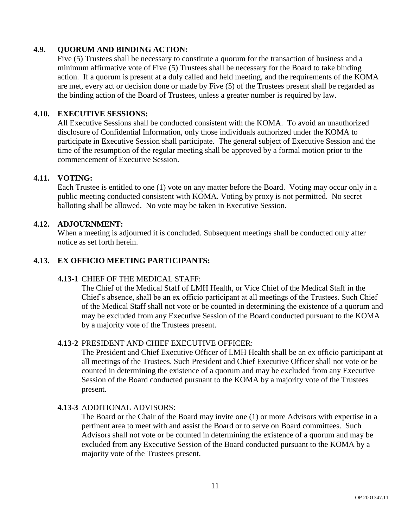# **4.9. QUORUM AND BINDING ACTION:**

Five (5) Trustees shall be necessary to constitute a quorum for the transaction of business and a minimum affirmative vote of Five (5) Trustees shall be necessary for the Board to take binding action. If a quorum is present at a duly called and held meeting, and the requirements of the KOMA are met, every act or decision done or made by Five (5) of the Trustees present shall be regarded as the binding action of the Board of Trustees, unless a greater number is required by law.

### **4.10. EXECUTIVE SESSIONS:**

All Executive Sessions shall be conducted consistent with the KOMA. To avoid an unauthorized disclosure of Confidential Information, only those individuals authorized under the KOMA to participate in Executive Session shall participate. The general subject of Executive Session and the time of the resumption of the regular meeting shall be approved by a formal motion prior to the commencement of Executive Session.

### **4.11. VOTING:**

Each Trustee is entitled to one (1) vote on any matter before the Board. Voting may occur only in a public meeting conducted consistent with KOMA. Voting by proxy is not permitted. No secret balloting shall be allowed. No vote may be taken in Executive Session.

### **4.12. ADJOURNMENT:**

When a meeting is adjourned it is concluded. Subsequent meetings shall be conducted only after notice as set forth herein.

# **4.13. EX OFFICIO MEETING PARTICIPANTS:**

### **4.13-1** CHIEF OF THE MEDICAL STAFF:

The Chief of the Medical Staff of LMH Health, or Vice Chief of the Medical Staff in the Chief's absence, shall be an ex officio participant at all meetings of the Trustees. Such Chief of the Medical Staff shall not vote or be counted in determining the existence of a quorum and may be excluded from any Executive Session of the Board conducted pursuant to the KOMA by a majority vote of the Trustees present.

### **4.13-2** PRESIDENT AND CHIEF EXECUTIVE OFFICER:

The President and Chief Executive Officer of LMH Health shall be an ex officio participant at all meetings of the Trustees. Such President and Chief Executive Officer shall not vote or be counted in determining the existence of a quorum and may be excluded from any Executive Session of the Board conducted pursuant to the KOMA by a majority vote of the Trustees present.

### **4.13-3** ADDITIONAL ADVISORS:

The Board or the Chair of the Board may invite one (1) or more Advisors with expertise in a pertinent area to meet with and assist the Board or to serve on Board committees. Such Advisors shall not vote or be counted in determining the existence of a quorum and may be excluded from any Executive Session of the Board conducted pursuant to the KOMA by a majority vote of the Trustees present.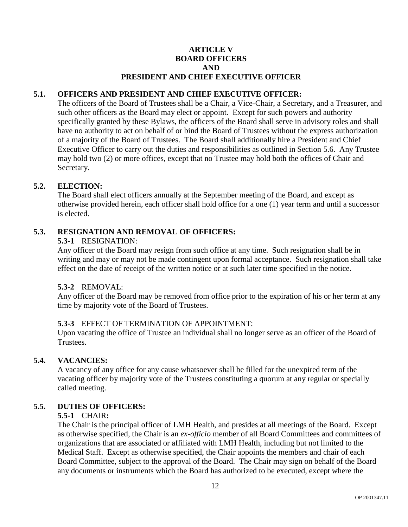### **ARTICLE V BOARD OFFICERS AND PRESIDENT AND CHIEF EXECUTIVE OFFICER**

# **5.1. OFFICERS AND PRESIDENT AND CHIEF EXECUTIVE OFFICER:**

The officers of the Board of Trustees shall be a Chair, a Vice-Chair, a Secretary, and a Treasurer, and such other officers as the Board may elect or appoint. Except for such powers and authority specifically granted by these Bylaws, the officers of the Board shall serve in advisory roles and shall have no authority to act on behalf of or bind the Board of Trustees without the express authorization of a majority of the Board of Trustees. The Board shall additionally hire a President and Chief Executive Officer to carry out the duties and responsibilities as outlined in Section 5.6. Any Trustee may hold two (2) or more offices, except that no Trustee may hold both the offices of Chair and Secretary.

## **5.2. ELECTION:**

The Board shall elect officers annually at the September meeting of the Board, and except as otherwise provided herein, each officer shall hold office for a one (1) year term and until a successor is elected.

## **5.3. RESIGNATION AND REMOVAL OF OFFICERS:**

### **5.3-1** RESIGNATION:

Any officer of the Board may resign from such office at any time. Such resignation shall be in writing and may or may not be made contingent upon formal acceptance. Such resignation shall take effect on the date of receipt of the written notice or at such later time specified in the notice.

### **5.3-2** REMOVAL:

Any officer of the Board may be removed from office prior to the expiration of his or her term at any time by majority vote of the Board of Trustees.

### **5.3-3** EFFECT OF TERMINATION OF APPOINTMENT:

Upon vacating the office of Trustee an individual shall no longer serve as an officer of the Board of Trustees.

### **5.4. VACANCIES:**

A vacancy of any office for any cause whatsoever shall be filled for the unexpired term of the vacating officer by majority vote of the Trustees constituting a quorum at any regular or specially called meeting.

### **5.5. DUTIES OF OFFICERS:**

### **5.5-1** CHAIR**:**

The Chair is the principal officer of LMH Health, and presides at all meetings of the Board. Except as otherwise specified, the Chair is an *ex-officio* member of all Board Committees and committees of organizations that are associated or affiliated with LMH Health, including but not limited to the Medical Staff. Except as otherwise specified, the Chair appoints the members and chair of each Board Committee, subject to the approval of the Board. The Chair may sign on behalf of the Board any documents or instruments which the Board has authorized to be executed, except where the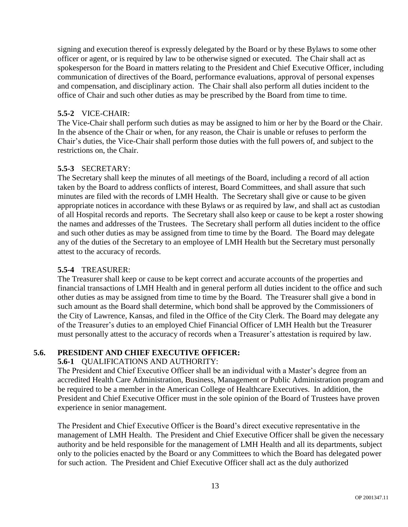signing and execution thereof is expressly delegated by the Board or by these Bylaws to some other officer or agent, or is required by law to be otherwise signed or executed. The Chair shall act as spokesperson for the Board in matters relating to the President and Chief Executive Officer, including communication of directives of the Board, performance evaluations, approval of personal expenses and compensation, and disciplinary action. The Chair shall also perform all duties incident to the office of Chair and such other duties as may be prescribed by the Board from time to time.

# **5.5-2** VICE-CHAIR:

The Vice-Chair shall perform such duties as may be assigned to him or her by the Board or the Chair. In the absence of the Chair or when, for any reason, the Chair is unable or refuses to perform the Chair's duties, the Vice-Chair shall perform those duties with the full powers of, and subject to the restrictions on, the Chair.

## **5.5-3** SECRETARY:

The Secretary shall keep the minutes of all meetings of the Board, including a record of all action taken by the Board to address conflicts of interest, Board Committees, and shall assure that such minutes are filed with the records of LMH Health. The Secretary shall give or cause to be given appropriate notices in accordance with these Bylaws or as required by law, and shall act as custodian of all Hospital records and reports. The Secretary shall also keep or cause to be kept a roster showing the names and addresses of the Trustees. The Secretary shall perform all duties incident to the office and such other duties as may be assigned from time to time by the Board. The Board may delegate any of the duties of the Secretary to an employee of LMH Health but the Secretary must personally attest to the accuracy of records.

### **5.5-4** TREASURER:

The Treasurer shall keep or cause to be kept correct and accurate accounts of the properties and financial transactions of LMH Health and in general perform all duties incident to the office and such other duties as may be assigned from time to time by the Board. The Treasurer shall give a bond in such amount as the Board shall determine, which bond shall be approved by the Commissioners of the City of Lawrence, Kansas, and filed in the Office of the City Clerk. The Board may delegate any of the Treasurer's duties to an employed Chief Financial Officer of LMH Health but the Treasurer must personally attest to the accuracy of records when a Treasurer's attestation is required by law.

# **5.6. PRESIDENT AND CHIEF EXECUTIVE OFFICER:**

### **5.6-1** QUALIFICATIONS AND AUTHORITY:

The President and Chief Executive Officer shall be an individual with a Master's degree from an accredited Health Care Administration, Business, Management or Public Administration program and be required to be a member in the American College of Healthcare Executives. In addition, the President and Chief Executive Officer must in the sole opinion of the Board of Trustees have proven experience in senior management.

The President and Chief Executive Officer is the Board's direct executive representative in the management of LMH Health. The President and Chief Executive Officer shall be given the necessary authority and be held responsible for the management of LMH Health and all its departments, subject only to the policies enacted by the Board or any Committees to which the Board has delegated power for such action. The President and Chief Executive Officer shall act as the duly authorized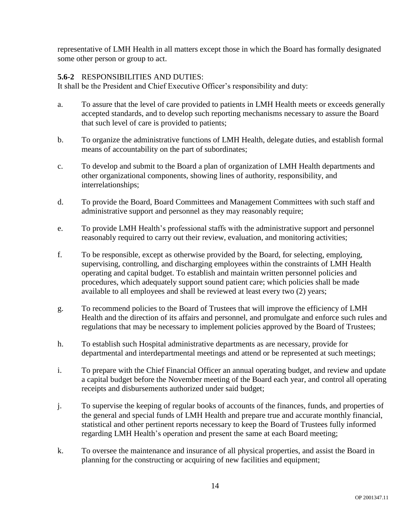representative of LMH Health in all matters except those in which the Board has formally designated some other person or group to act.

# **5.6-2** RESPONSIBILITIES AND DUTIES:

It shall be the President and Chief Executive Officer's responsibility and duty:

- a. To assure that the level of care provided to patients in LMH Health meets or exceeds generally accepted standards, and to develop such reporting mechanisms necessary to assure the Board that such level of care is provided to patients;
- b. To organize the administrative functions of LMH Health, delegate duties, and establish formal means of accountability on the part of subordinates;
- c. To develop and submit to the Board a plan of organization of LMH Health departments and other organizational components, showing lines of authority, responsibility, and interrelationships;
- d. To provide the Board, Board Committees and Management Committees with such staff and administrative support and personnel as they may reasonably require;
- e. To provide LMH Health's professional staffs with the administrative support and personnel reasonably required to carry out their review, evaluation, and monitoring activities;
- f. To be responsible, except as otherwise provided by the Board, for selecting, employing, supervising, controlling, and discharging employees within the constraints of LMH Health operating and capital budget. To establish and maintain written personnel policies and procedures, which adequately support sound patient care; which policies shall be made available to all employees and shall be reviewed at least every two (2) years;
- g. To recommend policies to the Board of Trustees that will improve the efficiency of LMH Health and the direction of its affairs and personnel, and promulgate and enforce such rules and regulations that may be necessary to implement policies approved by the Board of Trustees;
- h. To establish such Hospital administrative departments as are necessary, provide for departmental and interdepartmental meetings and attend or be represented at such meetings;
- i. To prepare with the Chief Financial Officer an annual operating budget, and review and update a capital budget before the November meeting of the Board each year, and control all operating receipts and disbursements authorized under said budget;
- j. To supervise the keeping of regular books of accounts of the finances, funds, and properties of the general and special funds of LMH Health and prepare true and accurate monthly financial, statistical and other pertinent reports necessary to keep the Board of Trustees fully informed regarding LMH Health's operation and present the same at each Board meeting;
- k. To oversee the maintenance and insurance of all physical properties, and assist the Board in planning for the constructing or acquiring of new facilities and equipment;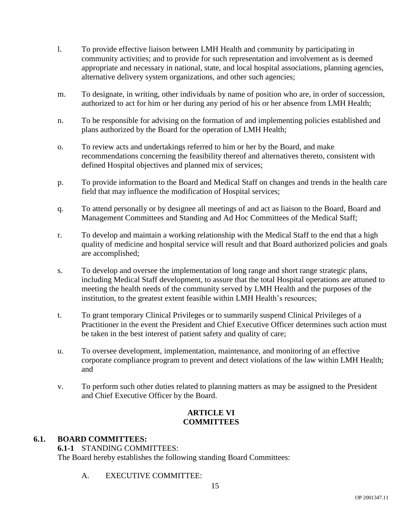- l. To provide effective liaison between LMH Health and community by participating in community activities; and to provide for such representation and involvement as is deemed appropriate and necessary in national, state, and local hospital associations, planning agencies, alternative delivery system organizations, and other such agencies;
- m. To designate, in writing, other individuals by name of position who are, in order of succession, authorized to act for him or her during any period of his or her absence from LMH Health;
- n. To be responsible for advising on the formation of and implementing policies established and plans authorized by the Board for the operation of LMH Health;
- o. To review acts and undertakings referred to him or her by the Board, and make recommendations concerning the feasibility thereof and alternatives thereto, consistent with defined Hospital objectives and planned mix of services;
- p. To provide information to the Board and Medical Staff on changes and trends in the health care field that may influence the modification of Hospital services;
- q. To attend personally or by designee all meetings of and act as liaison to the Board, Board and Management Committees and Standing and Ad Hoc Committees of the Medical Staff;
- r. To develop and maintain a working relationship with the Medical Staff to the end that a high quality of medicine and hospital service will result and that Board authorized policies and goals are accomplished;
- s. To develop and oversee the implementation of long range and short range strategic plans, including Medical Staff development, to assure that the total Hospital operations are attuned to meeting the health needs of the community served by LMH Health and the purposes of the institution, to the greatest extent feasible within LMH Health's resources;
- t. To grant temporary Clinical Privileges or to summarily suspend Clinical Privileges of a Practitioner in the event the President and Chief Executive Officer determines such action must be taken in the best interest of patient safety and quality of care;
- u. To oversee development, implementation, maintenance, and monitoring of an effective corporate compliance program to prevent and detect violations of the law within LMH Health; and
- v. To perform such other duties related to planning matters as may be assigned to the President and Chief Executive Officer by the Board.

# **ARTICLE VI COMMITTEES**

# **6.1. BOARD COMMITTEES:**

**6.1-1** STANDING COMMITTEES: The Board hereby establishes the following standing Board Committees:

A. EXECUTIVE COMMITTEE: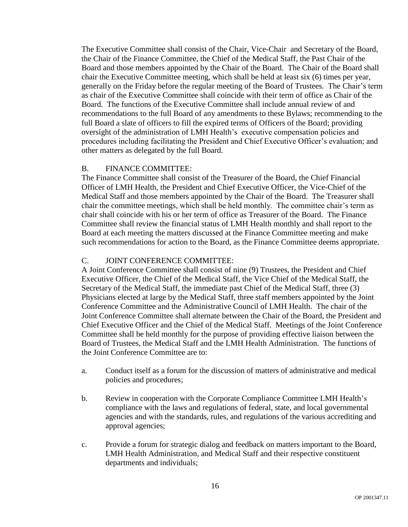The Executive Committee shall consist of the Chair, Vice-Chair and Secretary of the Board, the Chair of the Finance Committee, the Chief of the Medical Staff, the Past Chair of the Board and those members appointed by the Chair of the Board. The Chair of the Board shall chair the Executive Committee meeting, which shall be held at least six (6) times per year, generally on the Friday before the regular meeting of the Board of Trustees. The Chair's term as chair of the Executive Committee shall coincide with their term of office as Chair of the Board. The functions of the Executive Committee shall include annual review of and recommendations to the full Board of any amendments to these Bylaws; recommending to the full Board a slate of officers to fill the expired terms of Officers of the Board; providing oversight of the administration of LMH Health's executive compensation policies and procedures including facilitating the President and Chief Executive Officer's evaluation; and other matters as delegated by the full Board.

### B. FINANCE COMMITTEE:

The Finance Committee shall consist of the Treasurer of the Board, the Chief Financial Officer of LMH Health, the President and Chief Executive Officer, the Vice-Chief of the Medical Staff and those members appointed by the Chair of the Board. The Treasurer shall chair the committee meetings, which shall be held monthly. The committee chair's term as chair shall coincide with his or her term of office as Treasurer of the Board. The Finance Committee shall review the financial status of LMH Health monthly and shall report to the Board at each meeting the matters discussed at the Finance Committee meeting and make such recommendations for action to the Board, as the Finance Committee deems appropriate.

### C. JOINT CONFERENCE COMMITTEE:

A Joint Conference Committee shall consist of nine (9) Trustees, the President and Chief Executive Officer, the Chief of the Medical Staff, the Vice Chief of the Medical Staff, the Secretary of the Medical Staff, the immediate past Chief of the Medical Staff, three (3) Physicians elected at large by the Medical Staff, three staff members appointed by the Joint Conference Committee and the Administrative Council of LMH Health. The chair of the Joint Conference Committee shall alternate between the Chair of the Board, the President and Chief Executive Officer and the Chief of the Medical Staff. Meetings of the Joint Conference Committee shall be held monthly for the purpose of providing effective liaison between the Board of Trustees, the Medical Staff and the LMH Health Administration. The functions of the Joint Conference Committee are to:

- a. Conduct itself as a forum for the discussion of matters of administrative and medical policies and procedures;
- b. Review in cooperation with the Corporate Compliance Committee LMH Health's compliance with the laws and regulations of federal, state, and local governmental agencies and with the standards, rules, and regulations of the various accrediting and approval agencies;
- c. Provide a forum for strategic dialog and feedback on matters important to the Board, LMH Health Administration, and Medical Staff and their respective constituent departments and individuals;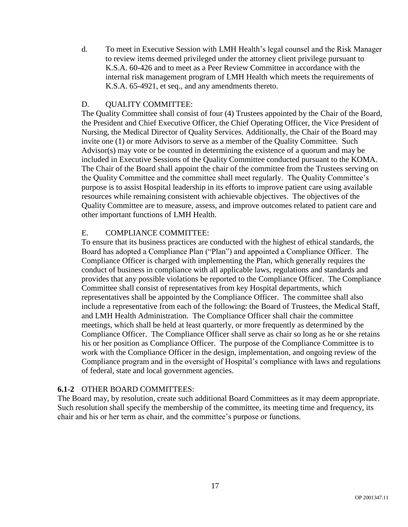d. To meet in Executive Session with LMH Health's legal counsel and the Risk Manager to review items deemed privileged under the attorney client privilege pursuant to K.S.A. 60-426 and to meet as a Peer Review Committee in accordance with the internal risk management program of LMH Health which meets the requirements of K.S.A. 65-4921, et seq., and any amendments thereto.

## D. QUALITY COMMITTEE:

The Quality Committee shall consist of four (4) Trustees appointed by the Chair of the Board, the President and Chief Executive Officer, the Chief Operating Officer, the Vice President of Nursing, the Medical Director of Quality Services. Additionally, the Chair of the Board may invite one (1) or more Advisors to serve as a member of the Quality Committee. Such Advisor(s) may vote or be counted in determining the existence of a quorum and may be included in Executive Sessions of the Quality Committee conducted pursuant to the KOMA. The Chair of the Board shall appoint the chair of the committee from the Trustees serving on the Quality Committee and the committee shall meet regularly. The Quality Committee's purpose is to assist Hospital leadership in its efforts to improve patient care using available resources while remaining consistent with achievable objectives. The objectives of the Quality Committee are to measure, assess, and improve outcomes related to patient care and other important functions of LMH Health.

### E. COMPLIANCE COMMITTEE:

To ensure that its business practices are conducted with the highest of ethical standards, the Board has adopted a Compliance Plan ("Plan") and appointed a Compliance Officer. The Compliance Officer is charged with implementing the Plan, which generally requires the conduct of business in compliance with all applicable laws, regulations and standards and provides that any possible violations be reported to the Compliance Officer. The Compliance Committee shall consist of representatives from key Hospital departments, which representatives shall be appointed by the Compliance Officer. The committee shall also include a representative from each of the following: the Board of Trustees, the Medical Staff, and LMH Health Administration. The Compliance Officer shall chair the committee meetings, which shall be held at least quarterly, or more frequently as determined by the Compliance Officer. The Compliance Officer shall serve as chair so long as he or she retains his or her position as Compliance Officer. The purpose of the Compliance Committee is to work with the Compliance Officer in the design, implementation, and ongoing review of the Compliance program and in the oversight of Hospital's compliance with laws and regulations of federal, state and local government agencies.

### **6.1-2** OTHER BOARD COMMITTEES:

The Board may, by resolution, create such additional Board Committees as it may deem appropriate. Such resolution shall specify the membership of the committee, its meeting time and frequency, its chair and his or her term as chair, and the committee's purpose or functions.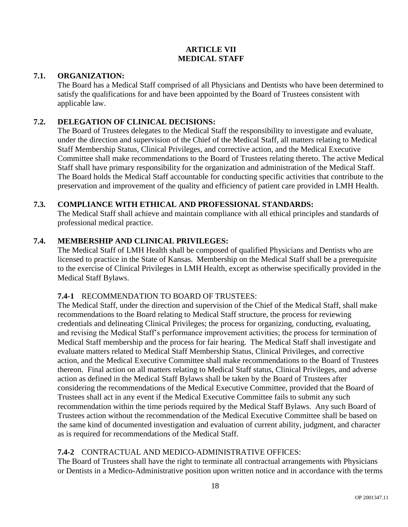# **ARTICLE VII MEDICAL STAFF**

# **7.1. ORGANIZATION:**

The Board has a Medical Staff comprised of all Physicians and Dentists who have been determined to satisfy the qualifications for and have been appointed by the Board of Trustees consistent with applicable law.

## **7.2. DELEGATION OF CLINICAL DECISIONS:**

The Board of Trustees delegates to the Medical Staff the responsibility to investigate and evaluate, under the direction and supervision of the Chief of the Medical Staff, all matters relating to Medical Staff Membership Status, Clinical Privileges, and corrective action, and the Medical Executive Committee shall make recommendations to the Board of Trustees relating thereto. The active Medical Staff shall have primary responsibility for the organization and administration of the Medical Staff. The Board holds the Medical Staff accountable for conducting specific activities that contribute to the preservation and improvement of the quality and efficiency of patient care provided in LMH Health.

### **7.3. COMPLIANCE WITH ETHICAL AND PROFESSIONAL STANDARDS:**

The Medical Staff shall achieve and maintain compliance with all ethical principles and standards of professional medical practice.

# **7.4. MEMBERSHIP AND CLINICAL PRIVILEGES:**

The Medical Staff of LMH Health shall be composed of qualified Physicians and Dentists who are licensed to practice in the State of Kansas. Membership on the Medical Staff shall be a prerequisite to the exercise of Clinical Privileges in LMH Health, except as otherwise specifically provided in the Medical Staff Bylaws.

### **7.4-1** RECOMMENDATION TO BOARD OF TRUSTEES:

The Medical Staff, under the direction and supervision of the Chief of the Medical Staff, shall make recommendations to the Board relating to Medical Staff structure, the process for reviewing credentials and delineating Clinical Privileges; the process for organizing, conducting, evaluating, and revising the Medical Staff's performance improvement activities; the process for termination of Medical Staff membership and the process for fair hearing. The Medical Staff shall investigate and evaluate matters related to Medical Staff Membership Status, Clinical Privileges, and corrective action, and the Medical Executive Committee shall make recommendations to the Board of Trustees thereon. Final action on all matters relating to Medical Staff status, Clinical Privileges, and adverse action as defined in the Medical Staff Bylaws shall be taken by the Board of Trustees after considering the recommendations of the Medical Executive Committee, provided that the Board of Trustees shall act in any event if the Medical Executive Committee fails to submit any such recommendation within the time periods required by the Medical Staff Bylaws. Any such Board of Trustees action without the recommendation of the Medical Executive Committee shall be based on the same kind of documented investigation and evaluation of current ability, judgment, and character as is required for recommendations of the Medical Staff.

# **7.4-2** CONTRACTUAL AND MEDICO-ADMINISTRATIVE OFFICES:

The Board of Trustees shall have the right to terminate all contractual arrangements with Physicians or Dentists in a Medico-Administrative position upon written notice and in accordance with the terms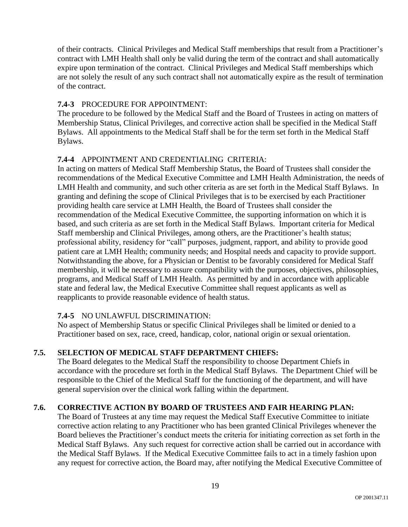of their contracts. Clinical Privileges and Medical Staff memberships that result from a Practitioner's contract with LMH Health shall only be valid during the term of the contract and shall automatically expire upon termination of the contract. Clinical Privileges and Medical Staff memberships which are not solely the result of any such contract shall not automatically expire as the result of termination of the contract.

# **7.4-3** PROCEDURE FOR APPOINTMENT:

The procedure to be followed by the Medical Staff and the Board of Trustees in acting on matters of Membership Status, Clinical Privileges, and corrective action shall be specified in the Medical Staff Bylaws. All appointments to the Medical Staff shall be for the term set forth in the Medical Staff Bylaws.

# **7.4-4** APPOINTMENT AND CREDENTIALING CRITERIA:

In acting on matters of Medical Staff Membership Status, the Board of Trustees shall consider the recommendations of the Medical Executive Committee and LMH Health Administration, the needs of LMH Health and community, and such other criteria as are set forth in the Medical Staff Bylaws. In granting and defining the scope of Clinical Privileges that is to be exercised by each Practitioner providing health care service at LMH Health, the Board of Trustees shall consider the recommendation of the Medical Executive Committee, the supporting information on which it is based, and such criteria as are set forth in the Medical Staff Bylaws. Important criteria for Medical Staff membership and Clinical Privileges, among others, are the Practitioner's health status; professional ability, residency for "call" purposes, judgment, rapport, and ability to provide good patient care at LMH Health; community needs; and Hospital needs and capacity to provide support. Notwithstanding the above, for a Physician or Dentist to be favorably considered for Medical Staff membership, it will be necessary to assure compatibility with the purposes, objectives, philosophies, programs, and Medical Staff of LMH Health. As permitted by and in accordance with applicable state and federal law, the Medical Executive Committee shall request applicants as well as reapplicants to provide reasonable evidence of health status.

# **7.4-5** NO UNLAWFUL DISCRIMINATION:

No aspect of Membership Status or specific Clinical Privileges shall be limited or denied to a Practitioner based on sex, race, creed, handicap, color, national origin or sexual orientation.

# **7.5. SELECTION OF MEDICAL STAFF DEPARTMENT CHIEFS:**

The Board delegates to the Medical Staff the responsibility to choose Department Chiefs in accordance with the procedure set forth in the Medical Staff Bylaws. The Department Chief will be responsible to the Chief of the Medical Staff for the functioning of the department, and will have general supervision over the clinical work falling within the department.

# **7.6. CORRECTIVE ACTION BY BOARD OF TRUSTEES AND FAIR HEARING PLAN:**

The Board of Trustees at any time may request the Medical Staff Executive Committee to initiate corrective action relating to any Practitioner who has been granted Clinical Privileges whenever the Board believes the Practitioner's conduct meets the criteria for initiating correction as set forth in the Medical Staff Bylaws. Any such request for corrective action shall be carried out in accordance with the Medical Staff Bylaws. If the Medical Executive Committee fails to act in a timely fashion upon any request for corrective action, the Board may, after notifying the Medical Executive Committee of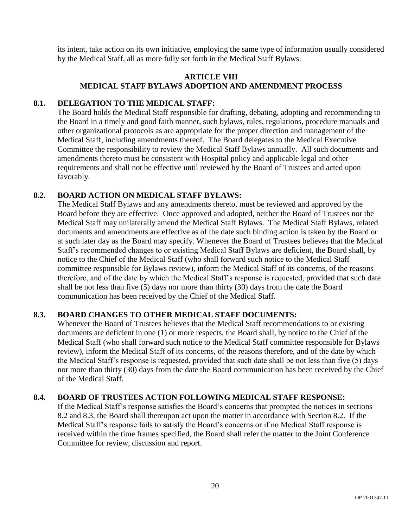its intent, take action on its own initiative, employing the same type of information usually considered by the Medical Staff, all as more fully set forth in the Medical Staff Bylaws.

# **ARTICLE VIII MEDICAL STAFF BYLAWS ADOPTION AND AMENDMENT PROCESS**

### **8.1. DELEGATION TO THE MEDICAL STAFF:**

The Board holds the Medical Staff responsible for drafting, debating, adopting and recommending to the Board in a timely and good faith manner, such bylaws, rules, regulations, procedure manuals and other organizational protocols as are appropriate for the proper direction and management of the Medical Staff, including amendments thereof. The Board delegates to the Medical Executive Committee the responsibility to review the Medical Staff Bylaws annually. All such documents and amendments thereto must be consistent with Hospital policy and applicable legal and other requirements and shall not be effective until reviewed by the Board of Trustees and acted upon favorably.

# **8.2. BOARD ACTION ON MEDICAL STAFF BYLAWS:**

The Medical Staff Bylaws and any amendments thereto, must be reviewed and approved by the Board before they are effective. Once approved and adopted, neither the Board of Trustees nor the Medical Staff may unilaterally amend the Medical Staff Bylaws. The Medical Staff Bylaws, related documents and amendments are effective as of the date such binding action is taken by the Board or at such later day as the Board may specify. Whenever the Board of Trustees believes that the Medical Staff's recommended changes to or existing Medical Staff Bylaws are deficient, the Board shall, by notice to the Chief of the Medical Staff (who shall forward such notice to the Medical Staff committee responsible for Bylaws review), inform the Medical Staff of its concerns, of the reasons therefore, and of the date by which the Medical Staff's response is requested, provided that such date shall be not less than five (5) days nor more than thirty (30) days from the date the Board communication has been received by the Chief of the Medical Staff.

# **8.3. BOARD CHANGES TO OTHER MEDICAL STAFF DOCUMENTS:**

Whenever the Board of Trustees believes that the Medical Staff recommendations to or existing documents are deficient in one (1) or more respects, the Board shall, by notice to the Chief of the Medical Staff (who shall forward such notice to the Medical Staff committee responsible for Bylaws review), inform the Medical Staff of its concerns, of the reasons therefore, and of the date by which the Medical Staff's response is requested, provided that such date shall be not less than five (5) days nor more than thirty (30) days from the date the Board communication has been received by the Chief of the Medical Staff.

### **8.4. BOARD OF TRUSTEES ACTION FOLLOWING MEDICAL STAFF RESPONSE:**

If the Medical Staff's response satisfies the Board's concerns that prompted the notices in sections 8.2 and 8.3, the Board shall thereupon act upon the matter in accordance with Section 8.2. If the Medical Staff's response fails to satisfy the Board's concerns or if no Medical Staff response is received within the time frames specified, the Board shall refer the matter to the Joint Conference Committee for review, discussion and report.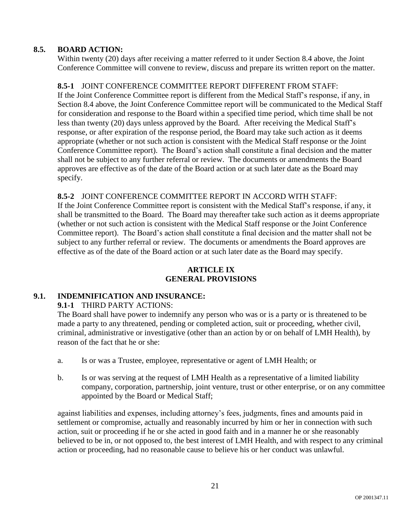# **8.5. BOARD ACTION:**

Within twenty (20) days after receiving a matter referred to it under Section 8.4 above, the Joint Conference Committee will convene to review, discuss and prepare its written report on the matter.

# **8.5-1** JOINT CONFERENCE COMMITTEE REPORT DIFFERENT FROM STAFF:

If the Joint Conference Committee report is different from the Medical Staff's response, if any, in Section 8.4 above, the Joint Conference Committee report will be communicated to the Medical Staff for consideration and response to the Board within a specified time period, which time shall be not less than twenty (20) days unless approved by the Board. After receiving the Medical Staff's response, or after expiration of the response period, the Board may take such action as it deems appropriate (whether or not such action is consistent with the Medical Staff response or the Joint Conference Committee report). The Board's action shall constitute a final decision and the matter shall not be subject to any further referral or review. The documents or amendments the Board approves are effective as of the date of the Board action or at such later date as the Board may specify.

# **8.5-2** JOINT CONFERENCE COMMITTEE REPORT IN ACCORD WITH STAFF:

If the Joint Conference Committee report is consistent with the Medical Staff's response, if any, it shall be transmitted to the Board. The Board may thereafter take such action as it deems appropriate (whether or not such action is consistent with the Medical Staff response or the Joint Conference Committee report). The Board's action shall constitute a final decision and the matter shall not be subject to any further referral or review. The documents or amendments the Board approves are effective as of the date of the Board action or at such later date as the Board may specify.

# **ARTICLE IX GENERAL PROVISIONS**

# **9.1. INDEMNIFICATION AND INSURANCE:**

**9.1-1** THIRD PARTY ACTIONS:

The Board shall have power to indemnify any person who was or is a party or is threatened to be made a party to any threatened, pending or completed action, suit or proceeding, whether civil, criminal, administrative or investigative (other than an action by or on behalf of LMH Health), by reason of the fact that he or she:

- a. Is or was a Trustee, employee, representative or agent of LMH Health; or
- b. Is or was serving at the request of LMH Health as a representative of a limited liability company, corporation, partnership, joint venture, trust or other enterprise, or on any committee appointed by the Board or Medical Staff;

against liabilities and expenses, including attorney's fees, judgments, fines and amounts paid in settlement or compromise, actually and reasonably incurred by him or her in connection with such action, suit or proceeding if he or she acted in good faith and in a manner he or she reasonably believed to be in, or not opposed to, the best interest of LMH Health, and with respect to any criminal action or proceeding, had no reasonable cause to believe his or her conduct was unlawful.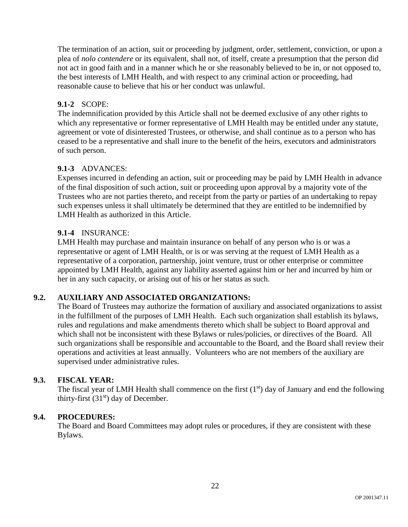The termination of an action, suit or proceeding by judgment, order, settlement, conviction, or upon a plea of *nolo contendere* or its equivalent, shall not, of itself, create a presumption that the person did not act in good faith and in a manner which he or she reasonably believed to be in, or not opposed to, the best interests of LMH Health, and with respect to any criminal action or proceeding, had reasonable cause to believe that his or her conduct was unlawful.

# **9.1-2** SCOPE:

The indemnification provided by this Article shall not be deemed exclusive of any other rights to which any representative or former representative of LMH Health may be entitled under any statute, agreement or vote of disinterested Trustees, or otherwise, and shall continue as to a person who has ceased to be a representative and shall inure to the benefit of the heirs, executors and administrators of such person.

## **9.1-3** ADVANCES:

Expenses incurred in defending an action, suit or proceeding may be paid by LMH Health in advance of the final disposition of such action, suit or proceeding upon approval by a majority vote of the Trustees who are not parties thereto, and receipt from the party or parties of an undertaking to repay such expenses unless it shall ultimately be determined that they are entitled to be indemnified by LMH Health as authorized in this Article.

## **9.1-4** INSURANCE:

LMH Health may purchase and maintain insurance on behalf of any person who is or was a representative or agent of LMH Health, or is or was serving at the request of LMH Health as a representative of a corporation, partnership, joint venture, trust or other enterprise or committee appointed by LMH Health, against any liability asserted against him or her and incurred by him or her in any such capacity, or arising out of his or her status as such.

# **9.2. AUXILIARY AND ASSOCIATED ORGANIZATIONS:**

The Board of Trustees may authorize the formation of auxiliary and associated organizations to assist in the fulfillment of the purposes of LMH Health. Each such organization shall establish its bylaws, rules and regulations and make amendments thereto which shall be subject to Board approval and which shall not be inconsistent with these Bylaws or rules/policies, or directives of the Board. All such organizations shall be responsible and accountable to the Board, and the Board shall review their operations and activities at least annually. Volunteers who are not members of the auxiliary are supervised under administrative rules.

### **9.3. FISCAL YEAR:**

The fiscal year of LMH Health shall commence on the first  $(1<sup>st</sup>)$  day of January and end the following thirty-first  $(31<sup>st</sup>)$  day of December.

### **9.4. PROCEDURES:**

The Board and Board Committees may adopt rules or procedures, if they are consistent with these Bylaws.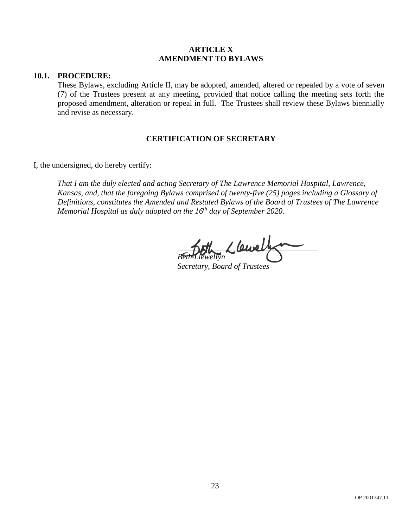### **ARTICLE X AMENDMENT TO BYLAWS**

#### **10.1. PROCEDURE:**

These Bylaws, excluding Article II, may be adopted, amended, altered or repealed by a vote of seven (7) of the Trustees present at any meeting, provided that notice calling the meeting sets forth the proposed amendment, alteration or repeal in full. The Trustees shall review these Bylaws biennially and revise as necessary.

### **CERTIFICATION OF SECRETARY**

I, the undersigned, do hereby certify:

*That I am the duly elected and acting Secretary of The Lawrence Memorial Hospital, Lawrence, Kansas, and, that the foregoing Bylaws comprised of twenty-five (25) pages including a Glossary of Definitions, constitutes the Amended and Restated Bylaws of the Board of Trustees of The Lawrence Memorial Hospital as duly adopted on the 16th day of September 2020.*

 $\angle$ *lewelt Beth Llewellyn*

*Secretary, Board of Trustees*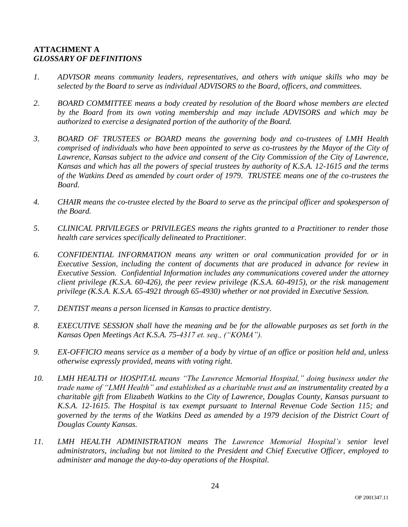# **ATTACHMENT A** *GLOSSARY OF DEFINITIONS*

- *1. ADVISOR means community leaders, representatives, and others with unique skills who may be selected by the Board to serve as individual ADVISORS to the Board, officers, and committees.*
- *2. BOARD COMMITTEE means a body created by resolution of the Board whose members are elected by the Board from its own voting membership and may include ADVISORS and which may be authorized to exercise a designated portion of the authority of the Board.*
- *3. BOARD OF TRUSTEES or BOARD means the governing body and co-trustees of LMH Health comprised of individuals who have been appointed to serve as co-trustees by the Mayor of the City of Lawrence, Kansas subject to the advice and consent of the City Commission of the City of Lawrence, Kansas and which has all the powers of special trustees by authority of K.S.A. 12-1615 and the terms of the Watkins Deed as amended by court order of 1979. TRUSTEE means one of the co-trustees the Board.*
- *4. CHAIR means the co-trustee elected by the Board to serve as the principal officer and spokesperson of the Board.*
- *5. CLINICAL PRIVILEGES or PRIVILEGES means the rights granted to a Practitioner to render those health care services specifically delineated to Practitioner.*
- *6. CONFIDENTIAL INFORMATION means any written or oral communication provided for or in Executive Session, including the content of documents that are produced in advance for review in Executive Session. Confidential Information includes any communications covered under the attorney client privilege (K.S.A. 60-426), the peer review privilege (K.S.A. 60-4915), or the risk management privilege (K.S.A. K.S.A. 65-4921 through 65-4930) whether or not provided in Executive Session.*
- *7. DENTIST means a person licensed in Kansas to practice dentistry.*
- *8. EXECUTIVE SESSION shall have the meaning and be for the allowable purposes as set forth in the Kansas Open Meetings Act K.S.A. 75-4317 et. seq., ("KOMA").*
- *9. EX-OFFICIO means service as a member of a body by virtue of an office or position held and, unless otherwise expressly provided, means with voting right.*
- *10. LMH HEALTH or HOSPITAL means "The Lawrence Memorial Hospital," doing business under the trade name of "LMH Health" and established as a charitable trust and an instrumentality created by a charitable gift from Elizabeth Watkins to the City of Lawrence, Douglas County, Kansas pursuant to K.S.A. 12-1615. The Hospital is tax exempt pursuant to Internal Revenue Code Section 115; and governed by the terms of the Watkins Deed as amended by a 1979 decision of the District Court of Douglas County Kansas.*
- *11. LMH HEALTH ADMINISTRATION means The Lawrence Memorial Hospital's senior level administrators, including but not limited to the President and Chief Executive Officer, employed to administer and manage the day-to-day operations of the Hospital.*